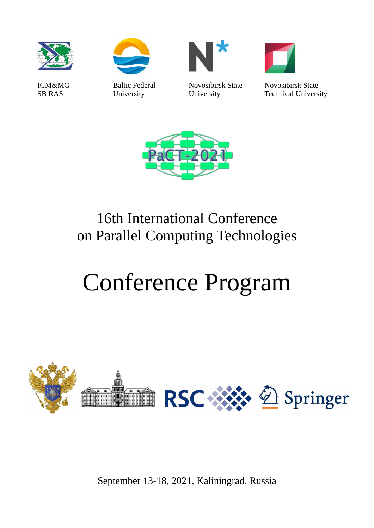



Baltic Federal University



Novosibirsk State University



Novosibirsk State Technical University



## 16th International Conference on Parallel Computing Technologies

# Conference Program



September 13-18, 2021, Kaliningrad, Russia

ICM&MG SB RAS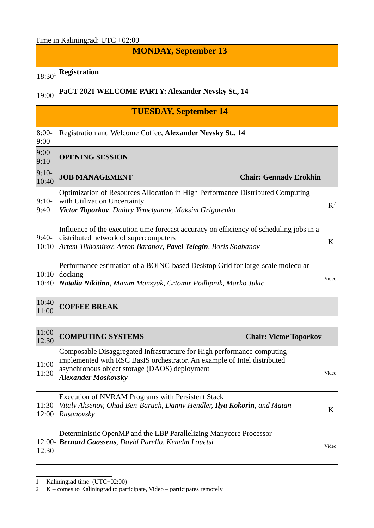#### **MONDAY, September 13**

## 18:30[1](#page-1-0) **Registration**

### 19:00 **PaCT-2021 WELCOME PARTY: Alexander Nevsky St., 14**

#### **TUESDAY, September 14**

8:00- Registration and Welcome Coffee, **Alexander Nevsky St., 14**

9:00

#### 9:00- 9:10 **OPENING SESSION**

| $9:10-$<br>10:40 | <b>JOB MANAGEMENT</b>                                                                                                                                                                                          | <b>Chair: Gennady Erokhin</b> |           |
|------------------|----------------------------------------------------------------------------------------------------------------------------------------------------------------------------------------------------------------|-------------------------------|-----------|
| $9:10-$<br>9:40  | Optimization of Resources Allocation in High Performance Distributed Computing<br>with Utilization Uncertainty<br>Victor Toporkov, Dmitry Yemelyanov, Maksim Grigorenko                                        |                               | $\rm K^2$ |
|                  | Influence of the execution time forecast accuracy on efficiency of scheduling jobs in a<br>9:40- distributed network of supercomputers<br>10:10 Artem Tikhomirov, Anton Baranov, Pavel Telegin, Boris Shabanov |                               | K         |
|                  | Performance estimation of a BOINC-based Desktop Grid for large-scale molecular                                                                                                                                 |                               |           |

10:10- docking

10:40 *Natalia Nikitina, Maxim Manzyuk, Crtomir Podlipnik, Marko Jukic* Video

#### 10:40- 11:00 **COFFEE BREAK**

| $11:00-$<br>12:30 | <b>COMPUTING SYSTEMS</b>                                                                                                                                                                                                          | <b>Chair: Victor Toporkov</b> |
|-------------------|-----------------------------------------------------------------------------------------------------------------------------------------------------------------------------------------------------------------------------------|-------------------------------|
| $11:00-$<br>11:30 | Composable Disaggregated Infrastructure for High performance computing<br>implemented with RSC BasIS orchestrator. An example of Intel distributed<br>asynchronous object storage (DAOS) deployment<br><b>Alexander Moskovsky</b> | Video                         |
|                   | Execution of NVRAM Programs with Persistent Stack<br>11:30- Vitaly Aksenov, Ohad Ben-Baruch, Danny Hendler, Ilya Kokorin, and Matan<br>12:00 Rusanovsky                                                                           | K                             |
| 12:30             | Deterministic OpenMP and the LBP Parallelizing Manycore Processor<br>12:00- Bernard Goossens, David Parello, Kenelm Louetsi                                                                                                       | Video                         |

<span id="page-1-0"></span><sup>1</sup> Kaliningrad time: (UTC+02:00)

<span id="page-1-1"></span><sup>2</sup> K – comes to Kaliningrad to participate, Video – participates remotely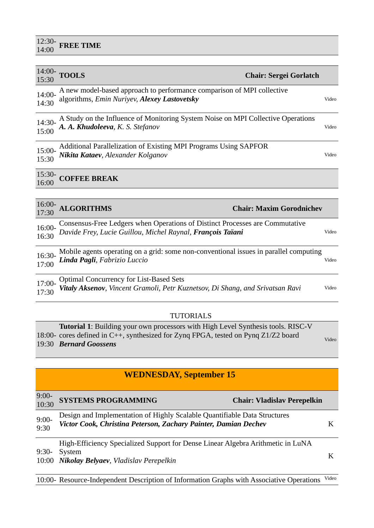## 12:30- 14:00 **FREE TIME**

| $14:00-$<br>15:30 | <b>TOOLS</b><br><b>Chair: Sergei Gorlatch</b>                                                                                              |       |
|-------------------|--------------------------------------------------------------------------------------------------------------------------------------------|-------|
| 14:00-<br>14:30   | A new model-based approach to performance comparison of MPI collective<br>algorithms, Emin Nuriyev, Alexey Lastovetsky                     | Video |
| 14:30-<br>15:00   | A Study on the Influence of Monitoring System Noise on MPI Collective Operations<br>A. A. Khudoleeva, K. S. Stefanov                       | Video |
| $15:00-$<br>15:30 | Additional Parallelization of Existing MPI Programs Using SAPFOR<br>Nikita Kataev, Alexander Kolganov                                      | Video |
| $15:30-$<br>16:00 | <b>COFFEE BREAK</b>                                                                                                                        |       |
| $16:00-$<br>17:30 | <b>ALGORITHMS</b><br><b>Chair: Maxim Gorodnichev</b>                                                                                       |       |
| 16:00-<br>16:30   | Consensus-Free Ledgers when Operations of Distinct Processes are Commutative<br>Davide Frey, Lucie Guillou, Michel Raynal, François Taïani | Video |
| 16:30-<br>17:00   | Mobile agents operating on a grid: some non-conventional issues in parallel computing<br>Linda Pagli, Fabrizio Luccio                      | Video |
| 17:00-<br>17:30   | <b>Optimal Concurrency for List-Based Sets</b><br>Vitaly Aksenov, Vincent Gramoli, Petr Kuznetsov, Di Shang, and Srivatsan Ravi            | Video |

#### TUTORIALS

| <b>Tutorial 1:</b> Building your own processors with High Level Synthesis tools. RISC-V |       |
|-----------------------------------------------------------------------------------------|-------|
| 18:00- cores defined in C++, synthesized for Zyng FPGA, tested on Pyng Z1/Z2 board      | Video |
| 19:30 Bernard Goossens                                                                  |       |

#### **WEDNESDAY, September 15**

| $9:00-10:30$      | <b>SYSTEMS PROGRAMMING</b>                                                                                                                   | <b>Chair: Vladislav Perepelkin</b> |  |
|-------------------|----------------------------------------------------------------------------------------------------------------------------------------------|------------------------------------|--|
| $9:00-$<br>$9:30$ | Design and Implementation of Highly Scalable Quantifiable Data Structures<br>Victor Cook, Christina Peterson, Zachary Painter, Damian Dechev |                                    |  |
|                   |                                                                                                                                              | .                                  |  |

9:30- System 10:00 *Nikolay Belyaev, Vladislav Perepelkin*<sup>K</sup> High-Efficiency Specialized Support for Dense Linear Algebra Arithmetic in LuNA

10:00- Resource-Independent Description of Information Graphs with Associative Operations Video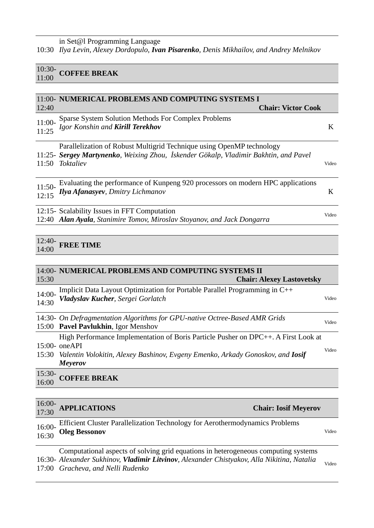10:30- 10:30- **COFFEE BREAK** 

|                    | 11:00- NUMERICAL PROBLEMS AND COMPUTING SYSTEMS I                                                                                                                          |       |
|--------------------|----------------------------------------------------------------------------------------------------------------------------------------------------------------------------|-------|
| 12:40              | <b>Chair: Victor Cook</b>                                                                                                                                                  |       |
| $11:00-$<br>11:25  | Sparse System Solution Methods For Complex Problems<br>Igor Konshin and Kirill Terekhov                                                                                    | K     |
| 11:50              | Parallelization of Robust Multigrid Technique using OpenMP technology<br>11:25- Sergey Martynenko, Weixing Zhou, İskender Gökalp, Vladimir Bakhtin, and Pavel<br>Toktaliev | Video |
| $11:50-$<br>12:15  | Evaluating the performance of Kunpeng 920 processors on modern HPC applications<br>Ilya Afanasyev, Dmitry Lichmanov                                                        | K     |
|                    | 12:15- Scalability Issues in FFT Computation<br>12:40 Alan Ayala, Stanimire Tomov, Miroslav Stoyanov, and Jack Dongarra                                                    | Video |
| $12 - 40$<br>14:00 | FREE TIME                                                                                                                                                                  |       |

| 14:00- NUMERICAL PROBLEMS AND COMPUTING SYSTEMS II<br>15:30                                                                                                                                                                  | <b>Chair: Alexey Lastovetsky</b> |
|------------------------------------------------------------------------------------------------------------------------------------------------------------------------------------------------------------------------------|----------------------------------|
| Implicit Data Layout Optimization for Portable Parallel Programming in C++<br>$14:00-$<br>Vladyslav Kucher, Sergei Gorlatch<br>14:30                                                                                         | Video                            |
| 14:30- On Defragmentation Algorithms for GPU-native Octree-Based AMR Grids<br>15:00 Pavel Pavlukhin, Igor Menshov                                                                                                            | Video                            |
| High Performance Implementation of Boris Particle Pusher on DPC++. A First Look at<br>$15:00-$ one $API$<br>Valentin Volokitin, Alexey Bashinov, Evgeny Emenko, Arkady Gonoskov, and <b>Iosif</b><br>15:30<br><b>Meyerov</b> | Video                            |
| $15:30-$<br><b>COFFEE BREAK</b><br>16:00                                                                                                                                                                                     |                                  |

| $16:00-$ APPLICATIONS 17:30<br><b>Chair: Iosif Meyerov</b>                                                                                                                  |       |
|-----------------------------------------------------------------------------------------------------------------------------------------------------------------------------|-------|
| Efficient Cluster Parallelization Technology for Aerothermodynamics Problems<br>16:00-<br>16:30 Oleg Bessonov                                                               | Video |
| Computational aspects of solving grid equations in heterogeneous computing systems<br>16.20 Alexander Sukhinov Vladimir Litvinov Alexander Chistyakov Alla Nikiting Natalia |       |

16:30- *Alexander Sukhinov, Vladimir Litvinov, Alexander Chistyakov, Alla Nikitina, Natalia*  17:00 *Gracheva, and Nelli Rudenko* Video Video Video Video Video Video Video Video Video Video Video Video Video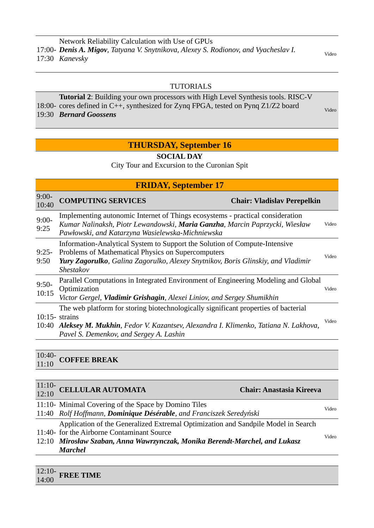#### TUTORIALS

18:00- cores defined in C++, synthesized for Zynq FPGA, tested on Pynq Z1/Z2 board 19:30 Bernard Goossens **Tutorial 2**: Building your own processors with High Level Synthesis tools. RISC-V *Bernard Goossens* Video

#### **THURSDAY, September 16**

#### **SOCIAL DAY**

City Tour and Excursion to the Curonian Spit

| <b>FRIDAY, September 17</b> |                                                                                                                                                                                                                                          |       |
|-----------------------------|------------------------------------------------------------------------------------------------------------------------------------------------------------------------------------------------------------------------------------------|-------|
| $9:00-$<br>10:40            | <b>COMPUTING SERVICES</b><br><b>Chair: Vladislav Perepelkin</b>                                                                                                                                                                          |       |
| $9:00-$<br>9:25             | Implementing autonomic Internet of Things ecosystems - practical consideration<br>Kumar Nalinaksh, Piotr Lewandowski, Maria Ganzha, Marcin Paprzycki, Wiesław<br>Pawłowski, and Katarzyna Wasielewska-Michniewska                        | Video |
| $9:25-$<br>9:50             | Information-Analytical System to Support the Solution of Compute-Intensive<br>Problems of Mathematical Physics on Supercomputers<br>Yury Zagorulko, Galina Zagorulko, Alexey Snytnikov, Boris Glinskiy, and Vladimir<br>Shestakov        | Video |
| $9:50-$<br>10:15            | Parallel Computations in Integrated Environment of Engineering Modeling and Global<br>Optimization<br>Victor Gergel, Vladimir Grishagin, Alexei Liniov, and Sergey Shumikhin                                                             | Video |
| 10:40                       | The web platform for storing biotechnologically significant properties of bacterial<br>$10:15$ - strains<br>Aleksey M. Mukhin, Fedor V. Kazantsev, Alexandra I. Klimenko, Tatiana N. Lakhova,<br>Pavel S. Demenkov, and Sergey A. Lashin | Video |

10:40- 10:40- **COFFEE BREAK** 

| 11:10- CELLULAR AUTOMATA $12:10$                                                  | <b>Chair: Anastasia Kireeva</b> |       |  |
|-----------------------------------------------------------------------------------|---------------------------------|-------|--|
| 11:10- Minimal Covering of the Space by Domino Tiles                              |                                 | Video |  |
| 11:40 Rolf Hoffmann, Dominique Désérable, and Franciszek Seredyński               |                                 |       |  |
| Application of the Generalized Extremal Optimization and Sandpile Model in Search |                                 |       |  |
| 11:40- for the Airborne Contaminant Source                                        |                                 | Video |  |
| 12:10 Mirosław Szaban, Anna Wawrzynczak, Monika Berendt-Marchel, and Lukasz       |                                 |       |  |
| Marchel                                                                           |                                 |       |  |

| $12:10-$<br><b>FREE TIME</b><br>14:00 |  |
|---------------------------------------|--|
|                                       |  |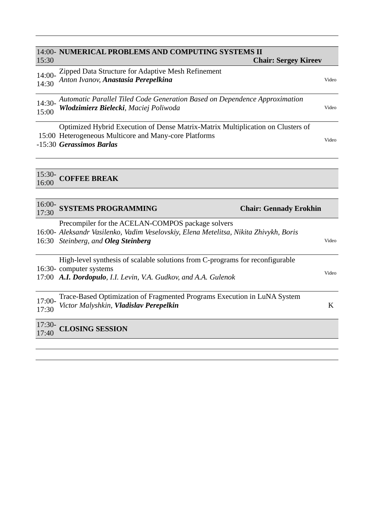#### 14:00- **NUMERICAL PROBLEMS AND COMPUTING SYSTEMS II**  15:30  **Chair: Sergey Kireev** 14:00- 1<del>4:00 *Anton Ivanov*, *Anastasia Perepelkina* di participale di participale di video video video video video video video video video video video video video video video video video video video video video video video vid</del> 14:00- Zipped Data Structure for Adaptive Mesh Refinement 14:30- *Automatic Parallel Tiled Code Generation Based on Dependence Approximation* 15:00 *Wlodzimierz Bielecki, Maciej Poliwoda* Video 15:00 Heterogeneous Multicore and Many-core Platforms -15:30 *Gerassimos Barlas* Video Optimized Hybrid Execution of Dense Matrix-Matrix Multiplication on Clusters of 15:30-

16:00 **COFFEE BREAK**

| $16:00-$<br>17:30 | <b>SYSTEMS PROGRAMMING</b>                                                                                                                                                               | <b>Chair: Gennady Erokhin</b> |
|-------------------|------------------------------------------------------------------------------------------------------------------------------------------------------------------------------------------|-------------------------------|
|                   | Precompiler for the ACELAN-COMPOS package solvers<br>16:00- Aleksandr Vasilenko, Vadim Veselovskiy, Elena Metelitsa, Nikita Zhivykh, Boris<br>16:30 Steinberg, and <b>Oleg Steinberg</b> | Video                         |
|                   | High-level synthesis of scalable solutions from C-programs for reconfigurable<br>16:30- computer systems<br>17:00 A.I. Dordopulo, I.I. Levin, V.A. Gudkov, and A.A. Gulenok              | Video                         |
| 17:00-<br>17:30   | Trace-Based Optimization of Fragmented Programs Execution in LuNA System<br>Victor Malyshkin, Vladislav Perepelkin                                                                       | K                             |
| $17:30-$<br>17:40 | <b>CLOSING SESSION</b>                                                                                                                                                                   |                               |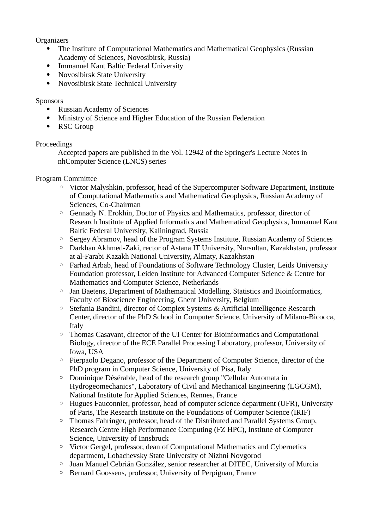#### **Organizers**

- The Institute of Computational Mathematics and Mathematical Geophysics (Russian Academy of Sciences, Novosibirsk, Russia)
- Immanuel Kant Baltic Federal University
- Novosibirsk State University
- Novosibirsk State Technical University

#### Sponsors

- Russian Academy of Sciences
- Ministry of Science and Higher Education of the Russian Federation
- RSC Group

#### Proceedings

Accepted papers are published in the Vol. 12942 of the Springer's Lecture Notes in nhComputer Science (LNCS) series

#### Program Committee

- Victor Malyshkin, professor, head of the Supercomputer Software Department, Institute of Computational Mathematics and Mathematical Geophysics, Russian Academy of Sciences, Co-Chairman
- Gennady N. Erokhin, Doctor of Physics and Mathematics, professor, director of Research Institute of Applied Informatics and Mathematical Geophysics, Immanuel Kant Baltic Federal University, Kaliningrad, Russia
- Sergey Abramov, head of the Program Systems Institute, Russian Academy of Sciences
- Darkhan Akhmed-Zaki, rector of Astana IT University, Nursultan, Kazakhstan, professor at al-Farabi Kazakh National University, Almaty, Kazakhstan
- Farhad Arbab, head of Foundations of Software Technology Cluster, Leids University Foundation professor, Leiden Institute for Advanced Computer Science & Centre for Mathematics and Computer Science, Netherlands
- Jan Baetens, Department of Mathematical Modelling, Statistics and Bioinformatics, Faculty of Bioscience Engineering, Ghent University, Belgium
- Stefania Bandini, director of Complex Systems & Artificial Intelligence Research Center, director of the PhD School in Computer Science, University of Milano-Bicocca, Italy
- Thomas Casavant, director of the UI Center for Bioinformatics and Computational Biology, director of the ECE Parallel Processing Laboratory, professor, University of Iowa, USA
- Pierpaolo Degano, professor of the Department of Computer Science, director of the PhD program in Computer Science, University of Pisa, Italy
- Dominique Désérable, head of the research group "Cellular Automata in Hydrogeomechanics", Laboratory of Civil and Mechanical Engineering (LGCGM), National Institute for Applied Sciences, Rennes, France
- Hugues Fauconnier, professor, head of computer science department (UFR), University of Paris, The Research Institute on the Foundations of Computer Science (IRIF)
- Thomas Fahringer, professor, head of the Distributed and Parallel Systems Group, Research Centre High Performance Computing (FZ HPC), Institute of Computer Science, University of Innsbruck
- Victor Gergel, professor, dean of Computational Mathematics and Cybernetics department, Lobachevsky State University of Nizhni Novgorod
- Juan Manuel Cebrián González, senior researcher at DITEC, University of Murcia
- Bernard Goossens, professor, University of Perpignan, France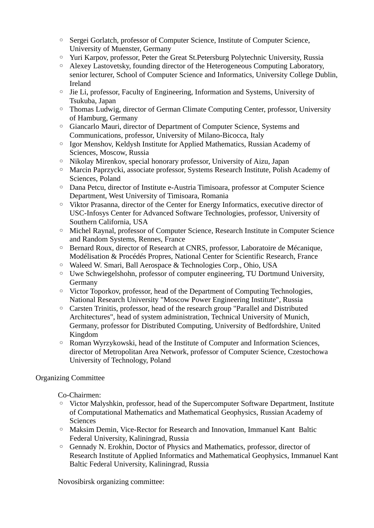- Sergei Gorlatch, professor of Computer Science, Institute of Computer Science, University of Muenster, Germany
- Yuri Karpov, professor, Peter the Great St.Petersburg Polytechnic University, Russia
- Alexey Lastovetsky, founding director of the Heterogeneous Computing Laboratory, senior lecturer, School of Computer Science and Informatics, University College Dublin, Ireland
- Jie Li, professor, Faculty of Engineering, Information and Systems, University of Tsukuba, Japan
- Thomas Ludwig, director of German Climate Computing Center, professor, University of Hamburg, Germany
- Giancarlo Mauri, director of Department of Computer Science, Systems and Communications, professor, University of Milano-Bicocca, Italy
- Igor Menshov, Keldysh Institute for Applied Mathematics, Russian Academy of Sciences, Moscow, Russia
- Nikolay Mirenkov, special honorary professor, University of Aizu, Japan
- Marcin Paprzycki, associate professor, Systems Research Institute, Polish Academy of Sciences, Poland
- Dana Petcu, director of Institute e-Austria Timisoara, professor at Computer Science Department, West University of Timisoara, Romania
- Viktor Prasanna, director of the Center for Energy Informatics, executive director of USC-Infosys Center for Advanced Software Technologies, professor, University of Southern California, USA
- Michel Raynal, professor of Computer Science, Research Institute in Computer Science and Random Systems, Rennes, France
- Bernard Roux, director of Research at CNRS, professor, Laboratoire de Mécanique, Modélisation & Procédés Propres, National Center for Scientific Research, France
- Waleed W. Smari, Ball Aerospace & Technologies Corp., Ohio, USA
- Uwe Schwiegelshohn, professor of computer engineering, TU Dortmund University, Germany
- Victor Toporkov, professor, head of the Department of Computing Technologies, National Research University "Moscow Power Engineering Institute", Russia
- Carsten Trinitis, professor, head of the research group "Parallel and Distributed Architectures", head of system administration, Technical University of Munich, Germany, professor for Distributed Computing, University of Bedfordshire, United Kingdom
- Roman Wyrzykowski, head of the Institute of Computer and Information Sciences, director of Metropolitan Area Network, professor of Computer Science, Czestochowa University of Technology, Poland

#### Organizing Committee

Co-Chairmen:

- Victor Malyshkin, professor, head of the Supercomputer Software Department, Institute of Computational Mathematics and Mathematical Geophysics, Russian Academy of **Sciences**
- Maksim Demin, Vice-Rector for Research and Innovation, Immanuel Kant Baltic Federal University, Kaliningrad, Russia
- Gennady N. Erokhin, Doctor of Physics and Mathematics, professor, director of Research Institute of Applied Informatics and Mathematical Geophysics, Immanuel Kant Baltic Federal University, Kaliningrad, Russia

Novosibirsk organizing committee: